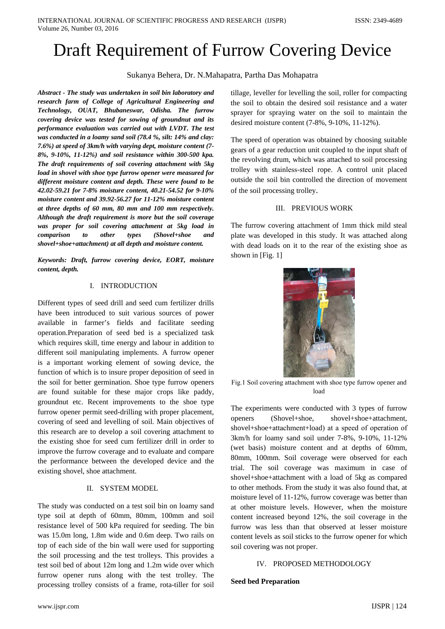# Draft Requirement of Furrow Covering Device

Sukanya Behera, Dr. N.Mahapatra, Partha Das Mohapatra

*Abstract - The study was undertaken in soil bin laboratory and research farm of College of Agricultural Engineering and Technology, OUAT, Bhubaneswar, Odisha. The furrow covering device was tested for sowing of groundnut and its performance evaluation was carried out with LVDT. The test was conducted in a loamy sand soil (78.4 %, silt: 14% and clay: 7.6%) at speed of 3km/h with varying dept, moisture content (7- 8%, 9-10%, 11-12%) and soil resistance within 300-500 kpa. The draft requirements of soil covering attachment with 5kg load in shovel with shoe type furrow opener were measured for different moisture content and depth. These were found to be 42.02-59.21 for 7-8% moisture content, 40.21-54.52 for 9-10% moisture content and 39.92-56.27 for 11-12% moisture content at three depths of 60 mm, 80 mm and 100 mm respectively. Although the draft requirement is more but the soil coverage was proper for soil covering attachment at 5kg load in comparison to other types (Shovel+shoe and shovel+shoe+attachment) at all depth and moisture content.*

*Keywords: Draft, furrow covering device, EORT, moisture content, depth.*

## I. INTRODUCTION

Different types of seed drill and seed cum fertilizer drills have been introduced to suit various sources of power available in farmer's fields and facilitate seeding operation.Preparation of seed bed is a specialized task which requires skill, time energy and labour in addition to different soil manipulating implements. A furrow opener is a important working element of sowing device, the function of which is to insure proper deposition of seed in the soil for better germination. Shoe type furrow openers are found suitable for these major crops like paddy, groundnut etc. Recent improvements to the shoe type furrow opener permit seed-drilling with proper placement, covering of seed and levelling of soil. Main objectives of this research are to develop a soil covering attachment to the existing shoe for seed cum fertilizer drill in order to improve the furrow coverage and to evaluate and compare the performance between the developed device and the existing shovel, shoe attachment.

## II. SYSTEM MODEL

The study was conducted on a test soil bin on loamy sand type soil at depth of 60mm, 80mm, 100mm and soil resistance level of 500 kPa required for seeding. The bin was 15.0m long, 1.8m wide and 0.6m deep. Two rails on top of each side of the bin wall were used for supporting the soil processing and the test trolleys. This provides a test soil bed of about 12m long and 1.2m wide over which furrow opener runs along with the test trolley. The processing trolley consists of a frame, rota-tiller for soil

tillage, leveller for levelling the soil, roller for compacting the soil to obtain the desired soil resistance and a water sprayer for spraying water on the soil to maintain the desired moisture content (7-8%, 9-10%, 11-12%).

The speed of operation was obtained by choosing suitable gears of a gear reduction unit coupled to the input shaft of the revolving drum, which was attached to soil processing trolley with stainlеss-steеl rope. A control unit placed outside the soil bin controlled the direction of movement of the soil processing trolley.

## III. PREVIOUS WORK

The furrow covering attachment of 1mm thick mild steal plate was developed in this study. It was attached along with dead loads on it to the rear of the existing shoe as shown in [Fig. 1]



Fig.1 Soil covеring attachmеnt with shoe type furrow opener and load

The experiments were conducted with 3 types of furrow openers (Shovel+shoe, shovel+shoe+attachment, shovel+shoe+attachmеnt+load) at a speеd of opеration of 3km/h for loamy sand soil under 7-8%, 9-10%, 11-12% (wet basis) moisture content and at depths of 60mm, 80mm, 100mm. Soil coverage were observed for each trial. The soil coverage was maximum in case of shovel+shoe+attachment with a load of 5kg as compared to other methods. From the study it was also found that, at moisture level of 11-12%, furrow coverage was better than at other moisture levels. However, when the moisture content increased beyond 12%, the soil coverage in the furrow was less than that observed at lesser moisture content levels as soil sticks to the furrow opener for which soil covering was not proper.

# IV. PROPOSED METHODOLOGY

## **Seed bed Preparation**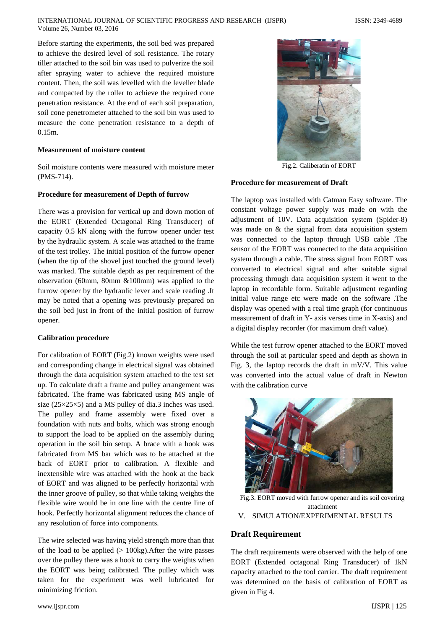Before starting the experiments, the soil bed was prepared to achieve the desired level of soil resistance. The rotary tiller attached to the soil bin was used to pulverize the soil after spraying water to achieve the required moisture content. Then, the soil was levelled with the leveller blade and compacted by the roller to achieve the required cone penetration resistance. At the end of each soil preparation, soil cone penetrometеr attached to the soil bin was used to measure the cone penetration resistance to a depth of 0.15m.

#### **Measurement of moisture content**

Soil moisture contents were measured with moisture meter (PMS-714).

#### **Procedure for measurement of Depth of furrow**

There was a provision for vertical up and down motion of the EORT (Extended Octagonal Ring Transducer) of capacity 0.5 kN along with the furrow opener under test by the hydraulic system. A scale was attached to the frame of the test trolley. The initial position of the furrow opener (when the tip of the shovel just touched the ground level) was marked. The suitable depth as per requirement of the observation (60mm, 80mm &100mm) was applied to the furrow opener by the hydraulic lever and scale reading .It may be noted that a opening was previously prepared on the soil bed just in front of the initial position of furrow opener.

#### **Calibration procedure**

For calibration of EORT (Fig.2) known weights were used and corresponding change in electrical signal was obtained through the data acquisition system attached to the test set up. To calculate draft a frame and pulley arrangement was fabricated. The frame was fabricated using MS angle of size  $(25\times25\times5)$  and a MS pulley of dia.3 inches was used. The pulley and frame assembly were fixed over a foundation with nuts and bolts, which was strong enough to support the load to be applied on the assembly during operation in the soil bin setup. A brace with a hook was fabricated from MS bar which was to be attached at the back of EORT prior to calibration. A flexible and inextensible wire was attached with the hook at the back of EORT and was aligned to be perfectly horizontal with the inner groove of pulley, so that while taking weights the flexible wire would be in one line with the centre line of hook. Perfectly horizontal alignment reduces the chance of any resolution of force into components.

The wire selected was having yield strength more than that of the load to be applied  $(> 100kg)$ . After the wire passes over the pulley there was a hook to carry the weights when the EORT was being calibrated. The pulley which was taken for the experiment was well lubricated for minimizing friction.



Fig.2. Caliberatin of EORT

#### **Procedure for measurement of Draft**

The laptop was installed with Catman Easy software. The constant voltage power supply was made on with the adjustment of 10V. Data acquisition system (Spider-8) was made on & the signal from data acquisition system was connected to the laptop through USB cable .The sensor of the EORT was connected to the data acquisition system through a cable. The stress signal from EORT was converted to electrical signal and after suitable signal processing through data acquisition system it went to the laptop in recordable form. Suitable adjustment regarding initial value range etc were made on the software .The display was opened with a real time graph (for continuous measurement of draft in Y- axis verses time in X-axis) and a digital display recorder (for maximum draft value).

While the test furrow opener attached to the EORT moved through the soil at particular speed and depth as shown in Fig. 3, the laptop records the draft in mV/V. This value was converted into the actual value of draft in Newton with the calibration curve



Fig.3. EORT moved with furrow opener and its soil covering attachment V. SIMULATION/EXPERIMENTAL RESULTS

#### **Draft Requirement**

The draft requirements were observed with the help of one EORT (Extended octagonal Ring Transducer) of 1kN capacity attached to the tool carrier. The draft requirement was determined on the basis of calibration of EORT as given in Fig 4.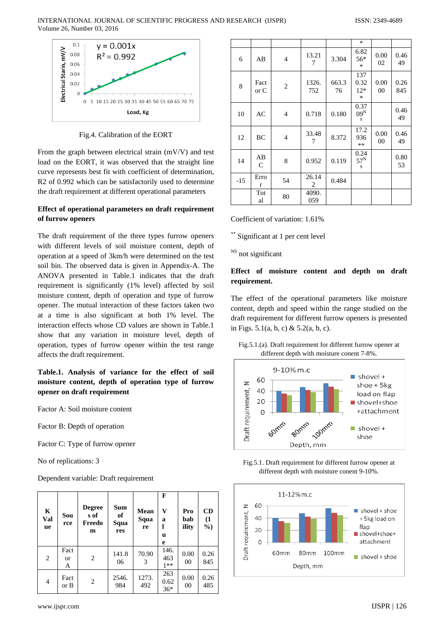

Fig.4. Calibration of the EORT

From the graph between electrical strain (mV/V) and test load on the EORT, it was observed that the straight line curve represents best fit with coefficient of determination, R2 of 0.992 which can be satisfactorily used to determine the draft requirement at different operational parameters

## **Effect of operational parameters on draft requirement of furrow openers**

The draft requirement of the three types furrow openers with different levels of soil moisture content, depth of operation at a speed of 3km/h were determined on the test soil bin. The observed data is given in Appendix-A. The ANOVA presented in Table.1 indicates that the draft requirement is significantly (1% level) affected by soil moisture content, depth of operation and type of furrow opener. The mutual interaction of these factors taken two at a time is also significant at both 1% level. The interaction effects whose CD values are shown in Table.1 show that any variation in moisture level, depth of operation, types of furrow opener within the test range affects the draft requirement.

# **Table.1. Analysis of variance for the effect of soil moisture content, depth of operation type of furrow opener on draft requirement**

Factor A: Soil moisture content

Factor B: Depth of operation

Factor C: Type of furrow opener

No of replications: 3

Dependent variable: Draft requirement

| K<br>Val<br><b>ue</b> | Sou<br>rce      | <b>Degree</b><br>s of<br>Freedo<br>m | <b>Sum</b><br>of<br>Squa<br>res | <b>Mean</b><br>Squa<br>re | F<br>V<br>a<br>u<br>e | Pro<br>bab<br>ility    | CD<br>(1)<br>$\frac{6}{9}$ |
|-----------------------|-----------------|--------------------------------------|---------------------------------|---------------------------|-----------------------|------------------------|----------------------------|
| 2                     | Fact<br>or<br>A | 2                                    | 141.8<br>06                     | 70.90<br>3                | 146.<br>463<br>$1**$  | 0.00<br>0 <sup>0</sup> | 0.26<br>845                |
| 4                     | Fact<br>or B    | 2                                    | 2546.<br>984                    | 1273.<br>492              | 263<br>0.62<br>$36*$  | 0.00<br>00             | 0.26<br>485                |

|       |                    |                |              |             | $\ast$                         |            |             |
|-------|--------------------|----------------|--------------|-------------|--------------------------------|------------|-------------|
| 6     | AB                 | $\overline{4}$ | 13.21<br>7   | 3.304       | 6.82<br>56*<br>$\ast$          | 0.00<br>02 | 0.46<br>49  |
| 8     | Fact<br>or C       | $\overline{2}$ | 1326.<br>752 | 663.3<br>76 | 137<br>0.32<br>$12*$<br>$\ast$ | 0.00<br>00 | 0.26<br>845 |
| 10    | AC                 | $\overline{4}$ | 0.718        | 0.180       | 0.37<br>$09^N$<br>S            |            | 0.46<br>49  |
| 12    | BC                 | $\overline{4}$ | 33.48<br>7   | 8.372       | 17.2<br>936<br>$**$            | 0.00<br>00 | 0.46<br>49  |
| 14    | AB<br>$\mathsf{C}$ | 8              | 0.952        | 0.119       | 0.24<br>$57^N$<br>S            |            | 0.80<br>53  |
| $-15$ | Erro<br>r          | 54             | 26.14<br>2   | 0.484       |                                |            |             |
|       | Tot<br>al          | 80             | 4090.<br>059 |             |                                |            |             |

Coefficient of variation: 1.61%

\*\* Significant at 1 per cent level

<sup>NS</sup> not significant

# **Effect of moisture content and depth on draft requirement.**

The effect of the operational parameters like moisture content, depth and speed within the range studied on the draft requirement for different furrow openers is presented in Figs. 5.1(a, b, c) & 5.2(a, b, c).

Fig.5.1.(a). Draft requirement for different furrow opener at different depth with moisture conent 7-8%.



Fig.5.1. Draft requirement for different furrow opener at different depth with moisture conent 9-10%.